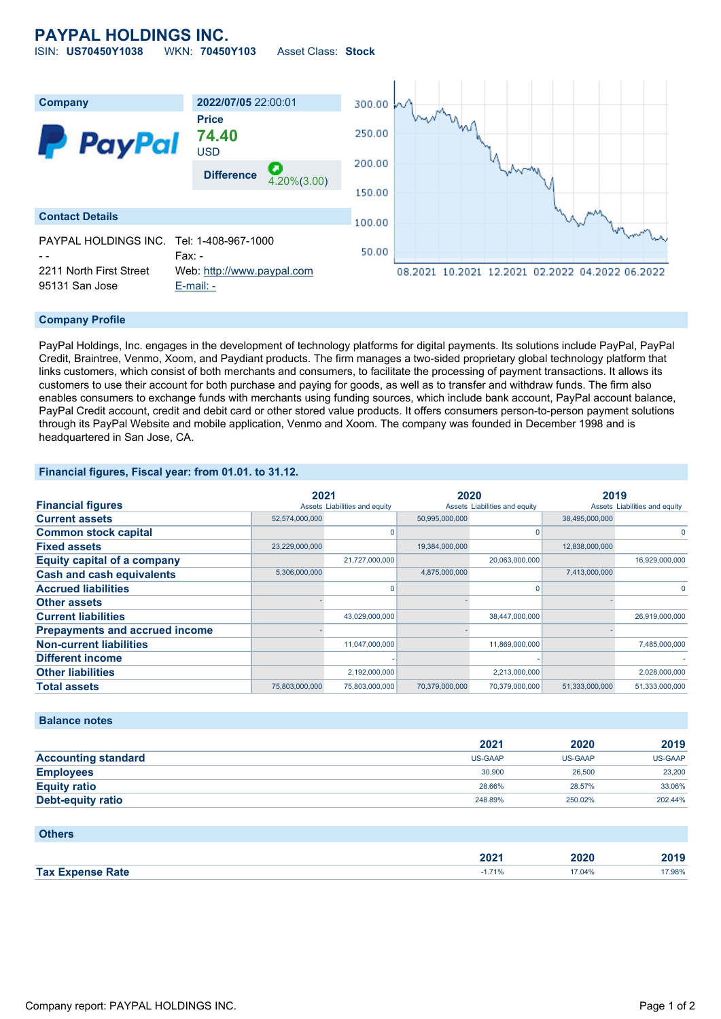## **PAYPAL HOLDINGS INC.** ISIN: **US70450Y1038** WKN: **70450Y103** Asset Class: **Stock**

**Company 2022/07/05** 22:00:01 300.00 **Price** 250.00 **74.40 PayPal** USD 200.00 **Difference** 4.20%(3.00) 150.00 **Contact Details** 100.00 PAYPAL HOLDINGS INC. Tel: 1-408-967-1000 50.00 - - Fax: - 2211 North First Street Web: [http://www.paypal.com](http://www.paypal.com/) 08.2021 10.2021 12.2021 02.2022 04.2022 06.2022 95131 San Jose [E-mail: -](mailto:-)

### **Company Profile**

PayPal Holdings, Inc. engages in the development of technology platforms for digital payments. Its solutions include PayPal, PayPal Credit, Braintree, Venmo, Xoom, and Paydiant products. The firm manages a two-sided proprietary global technology platform that links customers, which consist of both merchants and consumers, to facilitate the processing of payment transactions. It allows its customers to use their account for both purchase and paying for goods, as well as to transfer and withdraw funds. The firm also enables consumers to exchange funds with merchants using funding sources, which include bank account, PayPal account balance, PayPal Credit account, credit and debit card or other stored value products. It offers consumers person-to-person payment solutions through its PayPal Website and mobile application, Venmo and Xoom. The company was founded in December 1998 and is headquartered in San Jose, CA.

### **Financial figures, Fiscal year: from 01.01. to 31.12.**

|                                       |                | 2021                          |                               | 2020           |                               | 2019           |  |
|---------------------------------------|----------------|-------------------------------|-------------------------------|----------------|-------------------------------|----------------|--|
| <b>Financial figures</b>              |                | Assets Liabilities and equity | Assets Liabilities and equity |                | Assets Liabilities and equity |                |  |
| <b>Current assets</b>                 | 52,574,000,000 |                               | 50,995,000,000                |                | 38,495,000,000                |                |  |
| <b>Common stock capital</b>           |                |                               |                               |                |                               |                |  |
| <b>Fixed assets</b>                   | 23,229,000,000 |                               | 19,384,000,000                |                | 12,838,000,000                |                |  |
| <b>Equity capital of a company</b>    |                | 21,727,000,000                |                               | 20,063,000,000 |                               | 16,929,000,000 |  |
| <b>Cash and cash equivalents</b>      | 5,306,000,000  |                               | 4,875,000,000                 |                | 7,413,000,000                 |                |  |
| <b>Accrued liabilities</b>            |                |                               |                               |                |                               |                |  |
| <b>Other assets</b>                   |                |                               |                               |                |                               |                |  |
| <b>Current liabilities</b>            |                | 43,029,000,000                |                               | 38,447,000,000 |                               | 26,919,000,000 |  |
| <b>Prepayments and accrued income</b> |                |                               |                               |                |                               |                |  |
| <b>Non-current liabilities</b>        |                | 11,047,000,000                |                               | 11,869,000,000 |                               | 7,485,000,000  |  |
| <b>Different income</b>               |                |                               |                               |                |                               |                |  |
| <b>Other liabilities</b>              |                | 2,192,000,000                 |                               | 2,213,000,000  |                               | 2,028,000,000  |  |
| <b>Total assets</b>                   | 75,803,000,000 | 75,803,000,000                | 70,379,000,000                | 70,379,000,000 | 51,333,000,000                | 51,333,000,000 |  |

### **Balance notes**

|                            | 2021           | 2020           | 2019    |
|----------------------------|----------------|----------------|---------|
| <b>Accounting standard</b> | <b>US-GAAP</b> | <b>US-GAAP</b> | US-GAAP |
| <b>Employees</b>           | 30,900         | 26,500         | 23,200  |
| <b>Equity ratio</b>        | 28.66%         | 28.57%         | 33.06%  |
| <b>Debt-equity ratio</b>   | 248.89%        | 250.02%        | 202.44% |

#### **Others**

|                         | 2021     | 2020<br>____ | 2019  |
|-------------------------|----------|--------------|-------|
| <b>Tax Expense Rate</b> | 740<br>. | 7.04%        | 7.98% |